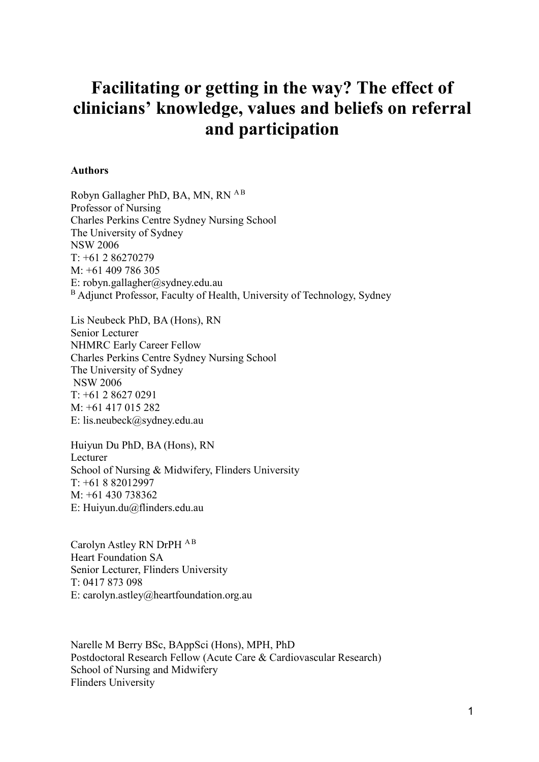# **Facilitating or getting in the way? The effect of clinicians' knowledge, values and beliefs on referral and participation**

#### **Authors**

Robyn Gallagher PhD, BA, MN, RN <sup>AB</sup> Professor of Nursing Charles Perkins Centre Sydney Nursing School The University of Sydney NSW 2006 T: +61 2 86270279 M: +61 409 786 305 E: [robyn.gallagher@sydney.edu.au](mailto:robyn.gallagher@sydney.edu.au)  <sup>B</sup> Adjunct Professor, Faculty of Health, University of Technology, Sydney

Lis Neubeck PhD, BA (Hons), RN Senior Lecturer NHMRC Early Career Fellow Charles Perkins Centre Sydney Nursing School The University of Sydney NSW 2006 T: +61 2 8627 0291 M: +61 417 015 282 E: [lis.neubeck@sydney.edu.au](mailto:lis.neubeck@sydney.edu.au)

Huiyun Du PhD, BA (Hons), RN Lecturer School of Nursing & Midwifery, Flinders University  $T· +61882012997$ M: +61 430 738362 E: Huiyun.du@flinders.edu.au

Carolyn Astley RN DrPH <sup>AB</sup> Heart Foundation SA Senior Lecturer, Flinders University T: 0417 873 098 E: [carolyn.astley@heartfoundation.org.au](mailto:carolyn.astley@heartfoundation.org.au)

Narelle M Berry BSc, BAppSci (Hons), MPH, PhD Postdoctoral Research Fellow (Acute Care & Cardiovascular Research) School of Nursing and Midwifery Flinders University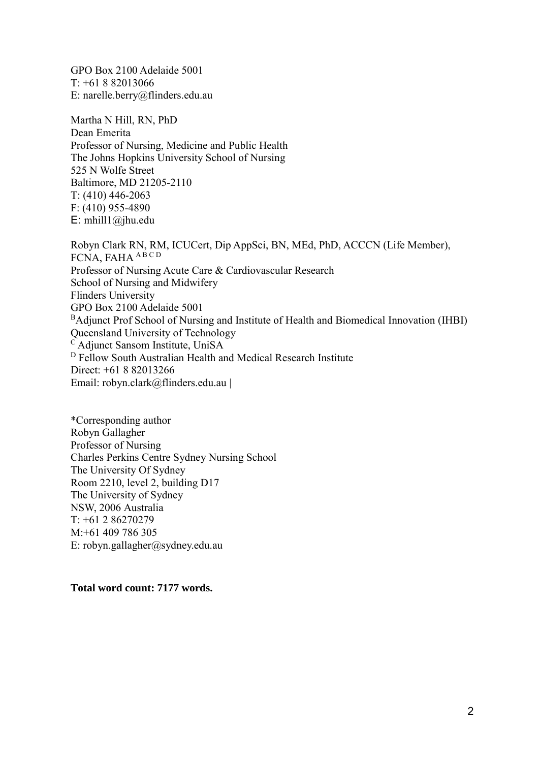GPO Box 2100 Adelaide 5001 T: +61 8 82013066 E: [narelle.berry@flinders.edu.au](mailto:narelle.berry@flinders.edu.au)

Martha N Hill, RN, PhD Dean Emerita Professor of Nursing, Medicine and Public Health The Johns Hopkins University School of Nursing 525 N Wolfe Street Baltimore, MD 21205-2110 T: (410) 446-2063 F: (410) 955-4890 E: mhill $1$ @jhu.edu

Robyn Clark RN, RM, ICUCert, Dip AppSci, BN, MEd, PhD, ACCCN (Life Member), FCNA, FAHA ABCD Professor of Nursing Acute Care & Cardiovascular Research School of Nursing and Midwifery Flinders University GPO Box 2100 Adelaide 5001 <sup>B</sup>Adjunct Prof School of Nursing and Institute of Health and Biomedical Innovation (IHBI) Queensland University of Technology <sup>C</sup> Adjunct Sansom Institute, UniSA <sup>D</sup> Fellow South Australian Health and Medical Research Institute Direct: +61 8 82013266 Email: [robyn.clark@flinders.edu.au](mailto:robyn.clark@flinders.edu.au) |

\*Corresponding author Robyn Gallagher Professor of Nursing Charles Perkins Centre Sydney Nursing School The University Of Sydney Room 2210, level 2, building D17 The University of Sydney NSW, 2006 Australia T: +61 2 86270279 M:+61 409 786 305 E: [robyn.gallagher@sydney.edu.au](mailto:robyn.gallagher@sydney.edu.au) 

## **Total word count: 7177 words.**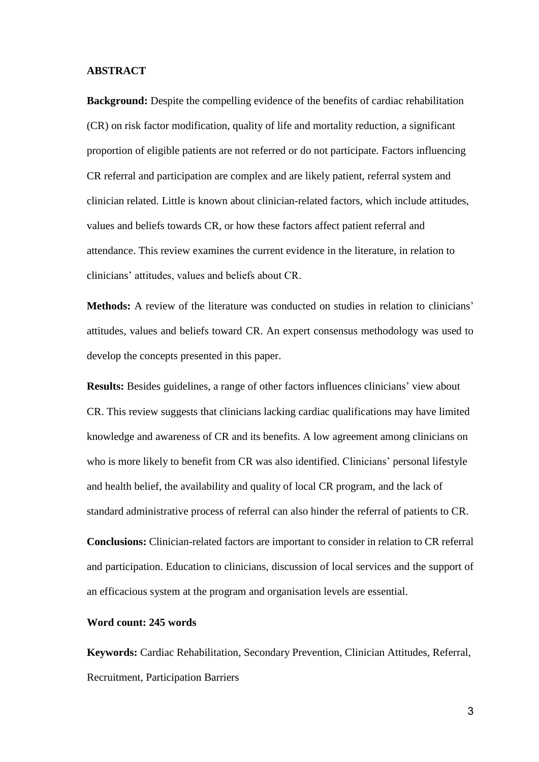#### **ABSTRACT**

**Background:** Despite the compelling evidence of the benefits of cardiac rehabilitation (CR) on risk factor modification, quality of life and mortality reduction, a significant proportion of eligible patients are not referred or do not participate. Factors influencing CR referral and participation are complex and are likely patient, referral system and clinician related. Little is known about clinician-related factors, which include attitudes, values and beliefs towards CR, or how these factors affect patient referral and attendance. This review examines the current evidence in the literature, in relation to clinicians' attitudes, values and beliefs about CR.

**Methods:** A review of the literature was conducted on studies in relation to clinicians' attitudes, values and beliefs toward CR. An expert consensus methodology was used to develop the concepts presented in this paper.

**Results:** Besides guidelines, a range of other factors influences clinicians' view about CR. This review suggests that clinicians lacking cardiac qualifications may have limited knowledge and awareness of CR and its benefits. A low agreement among clinicians on who is more likely to benefit from CR was also identified. Clinicians' personal lifestyle and health belief, the availability and quality of local CR program, and the lack of standard administrative process of referral can also hinder the referral of patients to CR.

**Conclusions:** Clinician-related factors are important to consider in relation to CR referral and participation. Education to clinicians, discussion of local services and the support of an efficacious system at the program and organisation levels are essential.

## **Word count: 245 words**

**Keywords:** Cardiac Rehabilitation, Secondary Prevention, Clinician Attitudes, Referral, Recruitment, Participation Barriers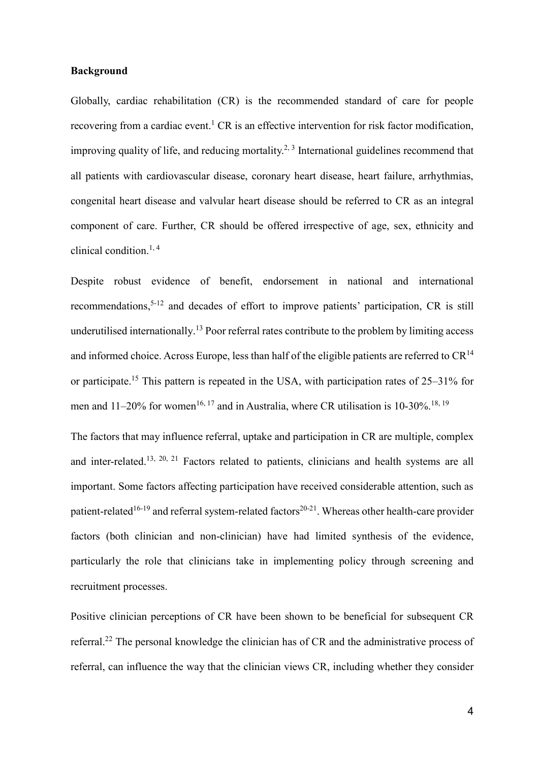## **Background**

Globally, cardiac rehabilitation (CR) is the recommended standard of care for people recovering from a cardiac event.<sup>1</sup> CR is an effective intervention for risk factor modification, improving quality of life, and reducing mortality.<sup>2, 3</sup> International guidelines recommend that all patients with cardiovascular disease, coronary heart disease, heart failure, arrhythmias, congenital heart disease and valvular heart disease should be referred to CR as an integral component of care. Further, CR should be offered irrespective of age, sex, ethnicity and clinical condition. 1, 4

Despite robust evidence of benefit, endorsement in national and international recommendations,<sup>5-12</sup> and decades of effort to improve patients' participation, CR is still underutilised internationally.<sup>13</sup> Poor referral rates contribute to the problem by limiting access and informed choice. Across Europe, less than half of the eligible patients are referred to  $CR^{14}$ or participate.<sup>15</sup> This pattern is repeated in the USA, with participation rates of 25–31% for men and 11–20% for women<sup>16, 17</sup> and in Australia, where CR utilisation is 10-30%.<sup>18, 19</sup>

The factors that may influence referral, uptake and participation in CR are multiple, complex and inter-related.<sup>13, 20, 21</sup> Factors related to patients, clinicians and health systems are all important. Some factors affecting participation have received considerable attention, such as patient-related<sup>16-19</sup> and referral system-related factors<sup>20-21</sup>. Whereas other health-care provider factors (both clinician and non-clinician) have had limited synthesis of the evidence, particularly the role that clinicians take in implementing policy through screening and recruitment processes.

Positive clinician perceptions of CR have been shown to be beneficial for subsequent CR referral.<sup>22</sup> The personal knowledge the clinician has of CR and the administrative process of referral, can influence the way that the clinician views CR, including whether they consider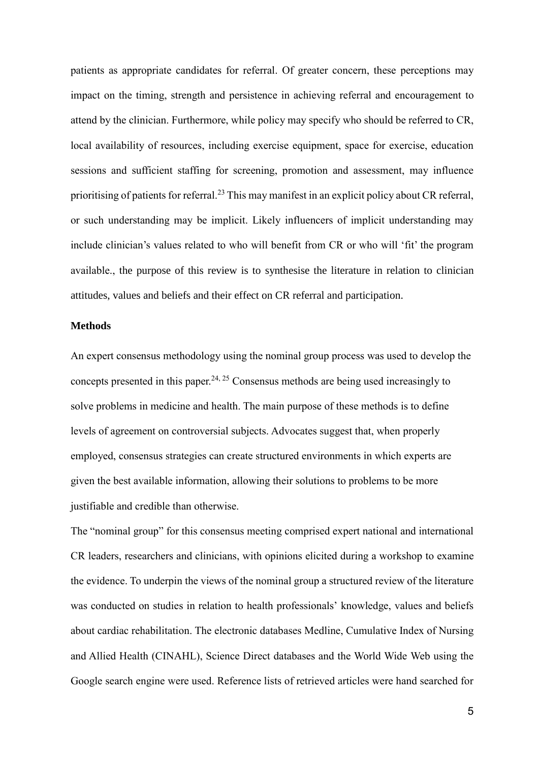patients as appropriate candidates for referral. Of greater concern, these perceptions may impact on the timing, strength and persistence in achieving referral and encouragement to attend by the clinician. Furthermore, while policy may specify who should be referred to CR, local availability of resources, including exercise equipment, space for exercise, education sessions and sufficient staffing for screening, promotion and assessment, may influence prioritising of patients for referral.<sup>23</sup> This may manifest in an explicit policy about CR referral, or such understanding may be implicit. Likely influencers of implicit understanding may include clinician's values related to who will benefit from CR or who will 'fit' the program available., the purpose of this review is to synthesise the literature in relation to clinician attitudes, values and beliefs and their effect on CR referral and participation.

## **Methods**

An expert consensus methodology using the nominal group process was used to develop the concepts presented in this paper.<sup>24, 25</sup> Consensus methods are being used increasingly to solve problems in medicine and health. The main purpose of these methods is to define levels of agreement on controversial subjects. Advocates suggest that, when properly employed, consensus strategies can create structured environments in which experts are given the best available information, allowing their solutions to problems to be more justifiable and credible than otherwise.

The "nominal group" for this consensus meeting comprised expert national and international CR leaders, researchers and clinicians, with opinions elicited during a workshop to examine the evidence. To underpin the views of the nominal group a structured review of the literature was conducted on studies in relation to health professionals' knowledge, values and beliefs about cardiac rehabilitation. The electronic databases Medline, Cumulative Index of Nursing and Allied Health (CINAHL), Science Direct databases and the World Wide Web using the Google search engine were used. Reference lists of retrieved articles were hand searched for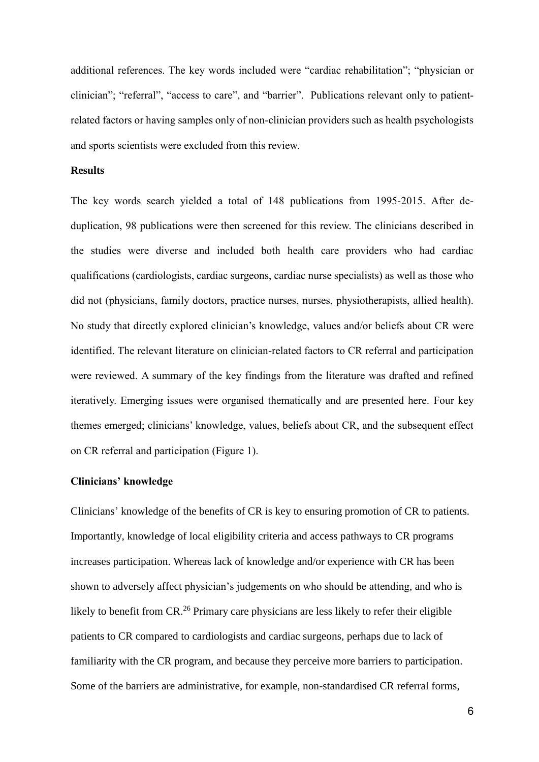additional references. The key words included were "cardiac rehabilitation"; "physician or clinician"; "referral", "access to care", and "barrier". Publications relevant only to patientrelated factors or having samples only of non-clinician providers such as health psychologists and sports scientists were excluded from this review.

#### **Results**

The key words search yielded a total of 148 publications from 1995-2015. After deduplication, 98 publications were then screened for this review. The clinicians described in the studies were diverse and included both health care providers who had cardiac qualifications (cardiologists, cardiac surgeons, cardiac nurse specialists) as well as those who did not (physicians, family doctors, practice nurses, nurses, physiotherapists, allied health). No study that directly explored clinician's knowledge, values and/or beliefs about CR were identified. The relevant literature on clinician-related factors to CR referral and participation were reviewed. A summary of the key findings from the literature was drafted and refined iteratively. Emerging issues were organised thematically and are presented here. Four key themes emerged; clinicians' knowledge, values, beliefs about CR, and the subsequent effect on CR referral and participation (Figure 1).

#### **Clinicians' knowledge**

Clinicians' knowledge of the benefits of CR is key to ensuring promotion of CR to patients. Importantly, knowledge of local eligibility criteria and access pathways to CR programs increases participation. Whereas lack of knowledge and/or experience with CR has been shown to adversely affect physician's judgements on who should be attending, and who is likely to benefit from CR.<sup>26</sup> Primary care physicians are less likely to refer their eligible patients to CR compared to cardiologists and cardiac surgeons, perhaps due to lack of familiarity with the CR program, and because they perceive more barriers to participation. Some of the barriers are administrative, for example, non-standardised CR referral forms,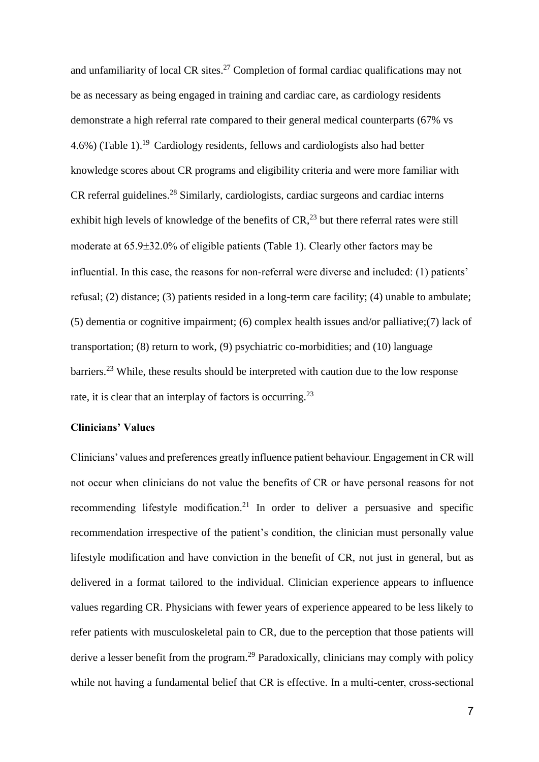and unfamiliarity of local CR sites.<sup>27</sup> Completion of formal cardiac qualifications may not be as necessary as being engaged in training and cardiac care, as cardiology residents demonstrate a high referral rate compared to their general medical counterparts (67% vs  $4.6\%$ ) (Table 1).<sup>19</sup> Cardiology residents, fellows and cardiologists also had better knowledge scores about CR programs and eligibility criteria and were more familiar with CR referral guidelines.<sup>28</sup> Similarly, cardiologists, cardiac surgeons and cardiac interns exhibit high levels of knowledge of the benefits of  $CR<sub>1</sub><sup>23</sup>$  but there referral rates were still moderate at  $65.9\pm32.0\%$  of eligible patients (Table 1). Clearly other factors may be influential. In this case, the reasons for non-referral were diverse and included: (1) patients' refusal; (2) distance; (3) patients resided in a long-term care facility; (4) unable to ambulate; (5) dementia or cognitive impairment; (6) complex health issues and/or palliative;(7) lack of transportation; (8) return to work, (9) psychiatric co-morbidities; and (10) language barriers.<sup>23</sup> While, these results should be interpreted with caution due to the low response rate, it is clear that an interplay of factors is occurring.<sup>23</sup>

#### **Clinicians' Values**

Clinicians' values and preferences greatly influence patient behaviour. Engagement in CR will not occur when clinicians do not value the benefits of CR or have personal reasons for not recommending lifestyle modification.<sup>21</sup> In order to deliver a persuasive and specific recommendation irrespective of the patient's condition, the clinician must personally value lifestyle modification and have conviction in the benefit of CR, not just in general, but as delivered in a format tailored to the individual. Clinician experience appears to influence values regarding CR. Physicians with fewer years of experience appeared to be less likely to refer patients with musculoskeletal pain to CR, due to the perception that those patients will derive a lesser benefit from the program.<sup>29</sup> Paradoxically, clinicians may comply with policy while not having a fundamental belief that CR is effective. In a multi-center, cross-sectional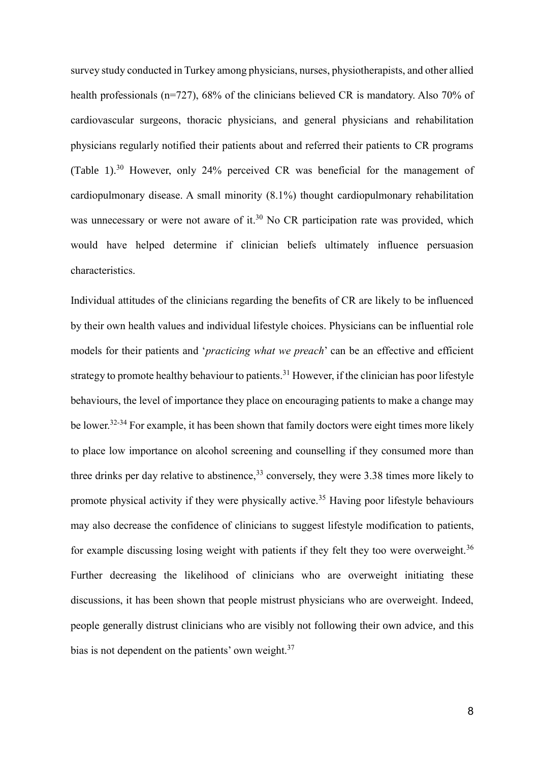survey study conducted in Turkey among physicians, nurses, physiotherapists, and other allied health professionals (n=727), 68% of the clinicians believed CR is mandatory. Also 70% of cardiovascular surgeons, thoracic physicians, and general physicians and rehabilitation physicians regularly notified their patients about and referred their patients to CR programs (Table 1). <sup>30</sup> However, only 24% perceived CR was beneficial for the management of cardiopulmonary disease. A small minority (8.1%) thought cardiopulmonary rehabilitation was unnecessary or were not aware of it.<sup>30</sup> No CR participation rate was provided, which would have helped determine if clinician beliefs ultimately influence persuasion characteristics.

Individual attitudes of the clinicians regarding the benefits of CR are likely to be influenced by their own health values and individual lifestyle choices. Physicians can be influential role models for their patients and '*practicing what we preach*' can be an effective and efficient strategy to promote healthy behaviour to patients.<sup>31</sup> However, if the clinician has poor lifestyle behaviours, the level of importance they place on encouraging patients to make a change may be lower.<sup>32-34</sup> For example, it has been shown that family doctors were eight times more likely to place low importance on alcohol screening and counselling if they consumed more than three drinks per day relative to abstinence,<sup>33</sup> conversely, they were 3.38 times more likely to promote physical activity if they were physically active.<sup>35</sup> Having poor lifestyle behaviours may also decrease the confidence of clinicians to suggest lifestyle modification to patients, for example discussing losing weight with patients if they felt they too were overweight.<sup>36</sup> Further decreasing the likelihood of clinicians who are overweight initiating these discussions, it has been shown that people mistrust physicians who are overweight. Indeed, people generally distrust clinicians who are visibly not following their own advice, and this bias is not dependent on the patients' own weight.<sup>37</sup>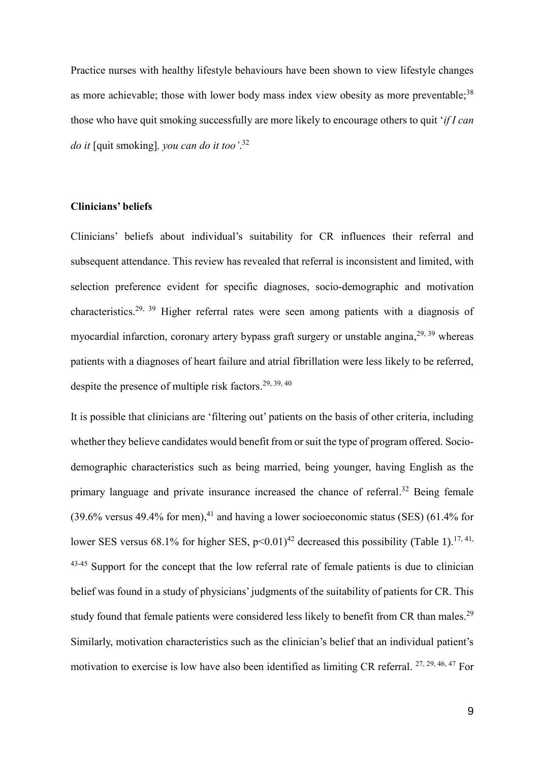Practice nurses with healthy lifestyle behaviours have been shown to view lifestyle changes as more achievable; those with lower body mass index view obesity as more preventable;<sup>38</sup> those who have quit smoking successfully are more likely to encourage others to quit '*if I can do it* [quit smoking]*, you can do it too'*. 32

## **Clinicians' beliefs**

Clinicians' beliefs about individual's suitability for CR influences their referral and subsequent attendance. This review has revealed that referral is inconsistent and limited, with selection preference evident for specific diagnoses, socio-demographic and motivation characteristics.29, 39 Higher referral rates were seen among patients with a diagnosis of myocardial infarction, coronary artery bypass graft surgery or unstable angina,<sup>29, 39</sup> whereas patients with a diagnoses of heart failure and atrial fibrillation were less likely to be referred, despite the presence of multiple risk factors.<sup>29, 39, 40</sup>

It is possible that clinicians are 'filtering out' patients on the basis of other criteria, including whether they believe candidates would benefit from or suit the type of program offered. Sociodemographic characteristics such as being married, being younger, having English as the primary language and private insurance increased the chance of referral.<sup>32</sup> Being female  $(39.6\%$  versus 49.4% for men),<sup>41</sup> and having a lower socioeconomic status (SES) (61.4% for lower SES versus 68.1% for higher SES,  $p<0.01$ <sup>42</sup> decreased this possibility (Table 1).<sup>17, 41,</sup> 43-45 Support for the concept that the low referral rate of female patients is due to clinician belief was found in a study of physicians' judgments of the suitability of patients for CR. This study found that female patients were considered less likely to benefit from CR than males.<sup>29</sup> Similarly, motivation characteristics such as the clinician's belief that an individual patient's motivation to exercise is low have also been identified as limiting CR referral. <sup>27, 29, 46, 47</sup> For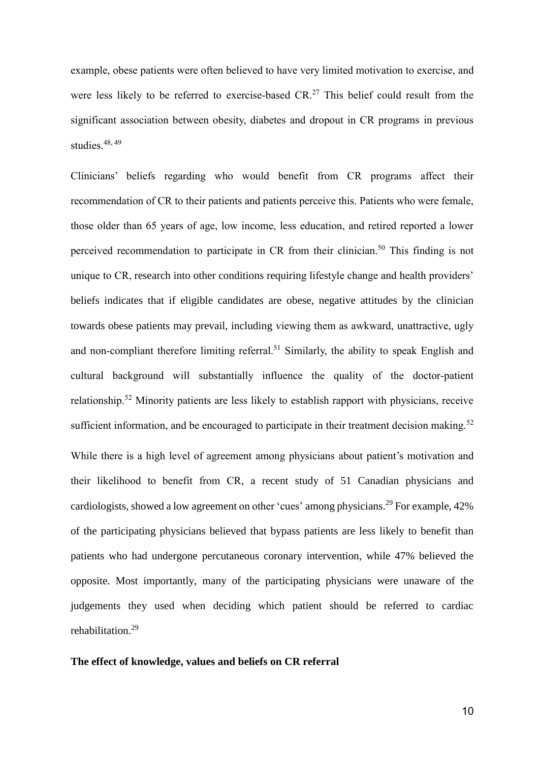example, obese patients were often believed to have very limited motivation to exercise, and were less likely to be referred to exercise-based  $CR<sup>27</sup>$  This belief could result from the significant association between obesity, diabetes and dropout in CR programs in previous studies. 48, 49

Clinicians' beliefs regarding who would benefit from CR programs affect their recommendation of CR to their patients and patients perceive this. Patients who were female, those older than 65 years of age, low income, less education, and retired reported a lower perceived recommendation to participate in CR from their clinician.<sup>50</sup> This finding is not unique to CR, research into other conditions requiring lifestyle change and health providers' beliefs indicates that if eligible candidates are obese, negative attitudes by the clinician towards obese patients may prevail, including viewing them as awkward, unattractive, ugly and non-compliant therefore limiting referral.<sup>51</sup> Similarly, the ability to speak English and cultural background will substantially influence the quality of the doctor-patient relationship.<sup>52</sup> Minority patients are less likely to establish rapport with physicians, receive sufficient information, and be encouraged to participate in their treatment decision making.<sup>52</sup> While there is a high level of agreement among physicians about patient's motivation and their likelihood to benefit from CR, a recent study of 51 Canadian physicians and cardiologists, showed a low agreement on other 'cues' among physicians.<sup>29</sup> For example, 42% of the participating physicians believed that bypass patients are less likely to benefit than patients who had undergone percutaneous coronary intervention, while 47% believed the opposite. Most importantly, many of the participating physicians were unaware of the judgements they used when deciding which patient should be referred to cardiac rehabilitation. 29

#### **The effect of knowledge, values and beliefs on CR referral**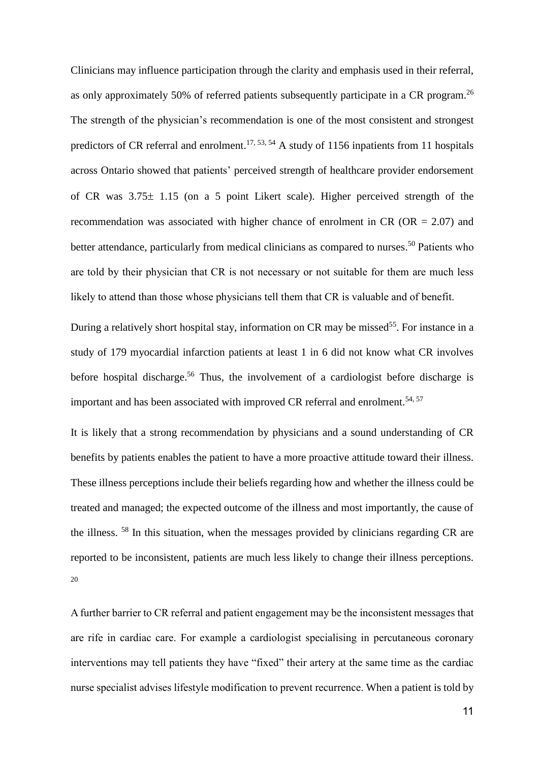Clinicians may influence participation through the clarity and emphasis used in their referral, as only approximately 50% of referred patients subsequently participate in a CR program.<sup>26</sup> The strength of the physician's recommendation is one of the most consistent and strongest predictors of CR referral and enrolment.<sup>17, 53, 54</sup> A study of 1156 inpatients from 11 hospitals across Ontario showed that patients' perceived strength of healthcare provider endorsement of CR was  $3.75 \pm 1.15$  (on a 5 point Likert scale). Higher perceived strength of the recommendation was associated with higher chance of enrolment in  $CR$  ( $OR = 2.07$ ) and better attendance, particularly from medical clinicians as compared to nurses.<sup>50</sup> Patients who are told by their physician that CR is not necessary or not suitable for them are much less likely to attend than those whose physicians tell them that CR is valuable and of benefit.

During a relatively short hospital stay, information on CR may be missed<sup>55</sup>. For instance in a study of 179 myocardial infarction patients at least 1 in 6 did not know what CR involves before hospital discharge. <sup>56</sup> Thus, the involvement of a cardiologist before discharge is important and has been associated with improved CR referral and enrolment.<sup>54, 57</sup>

It is likely that a strong recommendation by physicians and a sound understanding of CR benefits by patients enables the patient to have a more proactive attitude toward their illness. These illness perceptions include their beliefs regarding how and whether the illness could be treated and managed; the expected outcome of the illness and most importantly, the cause of the illness. <sup>58</sup> In this situation, when the messages provided by clinicians regarding CR are reported to be inconsistent, patients are much less likely to change their illness perceptions. 20

A further barrier to CR referral and patient engagement may be the inconsistent messages that are rife in cardiac care. For example a cardiologist specialising in percutaneous coronary interventions may tell patients they have "fixed" their artery at the same time as the cardiac nurse specialist advises lifestyle modification to prevent recurrence. When a patient is told by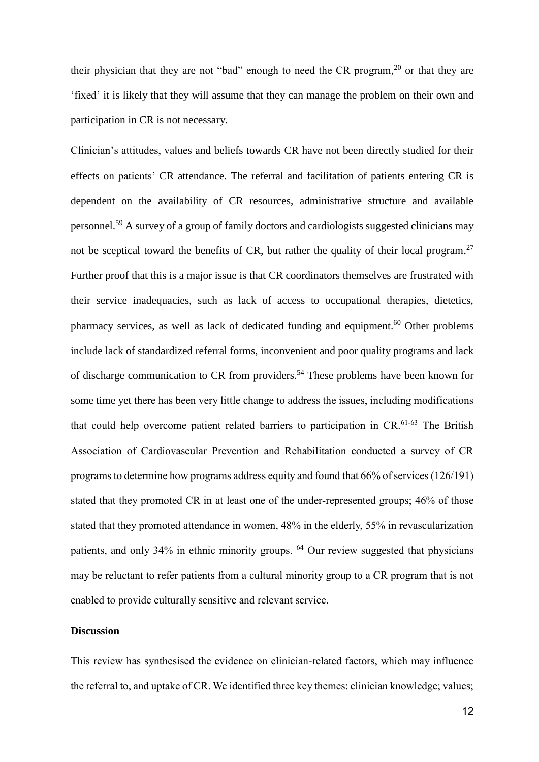their physician that they are not "bad" enough to need the CR program,<sup>20</sup> or that they are 'fixed' it is likely that they will assume that they can manage the problem on their own and participation in CR is not necessary.

Clinician's attitudes, values and beliefs towards CR have not been directly studied for their effects on patients' CR attendance. The referral and facilitation of patients entering CR is dependent on the availability of CR resources, administrative structure and available personnel.<sup>59</sup> A survey of a group of family doctors and cardiologists suggested clinicians may not be sceptical toward the benefits of CR, but rather the quality of their local program.<sup>27</sup> Further proof that this is a major issue is that CR coordinators themselves are frustrated with their service inadequacies, such as lack of access to occupational therapies, dietetics, pharmacy services, as well as lack of dedicated funding and equipment.<sup>60</sup> Other problems include lack of standardized referral forms, inconvenient and poor quality programs and lack of discharge communication to CR from providers. <sup>54</sup> These problems have been known for some time yet there has been very little change to address the issues, including modifications that could help overcome patient related barriers to participation in  $CR<sub>0.61-63</sub>$  The British Association of Cardiovascular Prevention and Rehabilitation conducted a survey of CR programsto determine how programs address equity and found that 66% of services (126/191) stated that they promoted CR in at least one of the under-represented groups; 46% of those stated that they promoted attendance in women, 48% in the elderly, 55% in revascularization patients, and only 34% in ethnic minority groups. <sup>64</sup> Our review suggested that physicians may be reluctant to refer patients from a cultural minority group to a CR program that is not enabled to provide culturally sensitive and relevant service.

## **Discussion**

This review has synthesised the evidence on clinician-related factors, which may influence the referral to, and uptake of CR. We identified three key themes: clinician knowledge; values;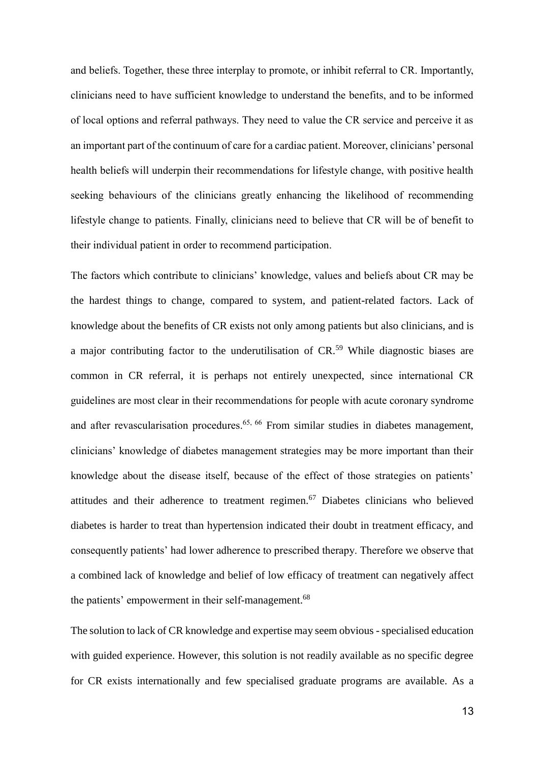and beliefs. Together, these three interplay to promote, or inhibit referral to CR. Importantly, clinicians need to have sufficient knowledge to understand the benefits, and to be informed of local options and referral pathways. They need to value the CR service and perceive it as an important part of the continuum of care for a cardiac patient. Moreover, clinicians' personal health beliefs will underpin their recommendations for lifestyle change, with positive health seeking behaviours of the clinicians greatly enhancing the likelihood of recommending lifestyle change to patients. Finally, clinicians need to believe that CR will be of benefit to their individual patient in order to recommend participation.

The factors which contribute to clinicians' knowledge, values and beliefs about CR may be the hardest things to change, compared to system, and patient-related factors. Lack of knowledge about the benefits of CR exists not only among patients but also clinicians, and is a major contributing factor to the underutilisation of CR.<sup>59</sup> While diagnostic biases are common in CR referral, it is perhaps not entirely unexpected, since international CR guidelines are most clear in their recommendations for people with acute coronary syndrome and after revascularisation procedures.<sup>65, 66</sup> From similar studies in diabetes management, clinicians' knowledge of diabetes management strategies may be more important than their knowledge about the disease itself, because of the effect of those strategies on patients' attitudes and their adherence to treatment regimen.<sup>67</sup> Diabetes clinicians who believed diabetes is harder to treat than hypertension indicated their doubt in treatment efficacy, and consequently patients' had lower adherence to prescribed therapy. Therefore we observe that a combined lack of knowledge and belief of low efficacy of treatment can negatively affect the patients' empowerment in their self-management.<sup>68</sup>

The solution to lack of CR knowledge and expertise may seem obvious - specialised education with guided experience. However, this solution is not readily available as no specific degree for CR exists internationally and few specialised graduate programs are available. As a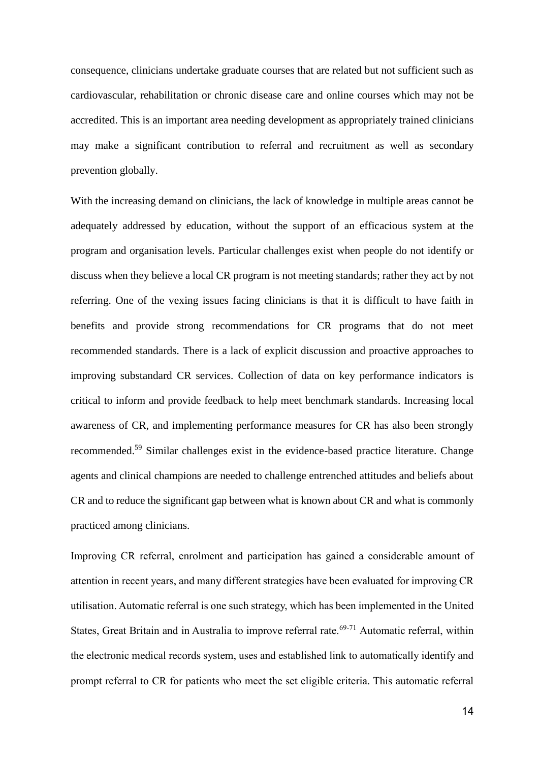consequence, clinicians undertake graduate courses that are related but not sufficient such as cardiovascular, rehabilitation or chronic disease care and online courses which may not be accredited. This is an important area needing development as appropriately trained clinicians may make a significant contribution to referral and recruitment as well as secondary prevention globally.

With the increasing demand on clinicians, the lack of knowledge in multiple areas cannot be adequately addressed by education, without the support of an efficacious system at the program and organisation levels. Particular challenges exist when people do not identify or discuss when they believe a local CR program is not meeting standards; rather they act by not referring. One of the vexing issues facing clinicians is that it is difficult to have faith in benefits and provide strong recommendations for CR programs that do not meet recommended standards. There is a lack of explicit discussion and proactive approaches to improving substandard CR services. Collection of data on key performance indicators is critical to inform and provide feedback to help meet benchmark standards. Increasing local awareness of CR, and implementing performance measures for CR has also been strongly recommended.<sup>59</sup> Similar challenges exist in the evidence-based practice literature. Change agents and clinical champions are needed to challenge entrenched attitudes and beliefs about CR and to reduce the significant gap between what is known about CR and what is commonly practiced among clinicians.

Improving CR referral, enrolment and participation has gained a considerable amount of attention in recent years, and many different strategies have been evaluated for improving CR utilisation. Automatic referral is one such strategy, which has been implemented in the United States, Great Britain and in Australia to improve referral rate.<sup>69-71</sup> Automatic referral, within the electronic medical records system, uses and established link to automatically identify and prompt referral to CR for patients who meet the set eligible criteria. This automatic referral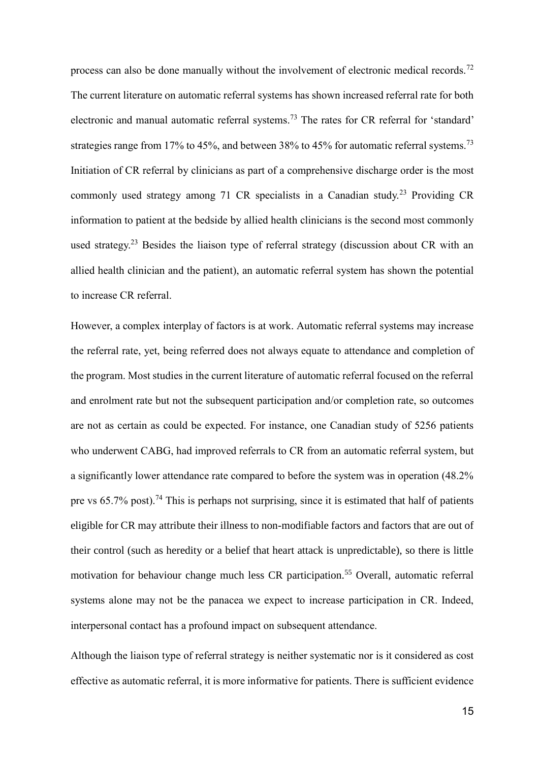process can also be done manually without the involvement of electronic medical records.<sup>72</sup> The current literature on automatic referral systems has shown increased referral rate for both electronic and manual automatic referral systems.<sup>73</sup> The rates for CR referral for 'standard' strategies range from 17% to 45%, and between 38% to 45% for automatic referral systems.<sup>73</sup> Initiation of CR referral by clinicians as part of a comprehensive discharge order is the most commonly used strategy among 71 CR specialists in a Canadian study.<sup>23</sup> Providing CR information to patient at the bedside by allied health clinicians is the second most commonly used strategy.<sup>23</sup> Besides the liaison type of referral strategy (discussion about CR with an allied health clinician and the patient), an automatic referral system has shown the potential to increase CR referral.

However, a complex interplay of factors is at work. Automatic referral systems may increase the referral rate, yet, being referred does not always equate to attendance and completion of the program. Most studies in the current literature of automatic referral focused on the referral and enrolment rate but not the subsequent participation and/or completion rate, so outcomes are not as certain as could be expected. For instance, one Canadian study of 5256 patients who underwent CABG, had improved referrals to CR from an automatic referral system, but a significantly lower attendance rate compared to before the system was in operation (48.2% pre vs 65.7% post).<sup>74</sup> This is perhaps not surprising, since it is estimated that half of patients eligible for CR may attribute their illness to non-modifiable factors and factors that are out of their control (such as heredity or a belief that heart attack is unpredictable), so there is little motivation for behaviour change much less CR participation.<sup>55</sup> Overall, automatic referral systems alone may not be the panacea we expect to increase participation in CR. Indeed, interpersonal contact has a profound impact on subsequent attendance.

Although the liaison type of referral strategy is neither systematic nor is it considered as cost effective as automatic referral, it is more informative for patients. There is sufficient evidence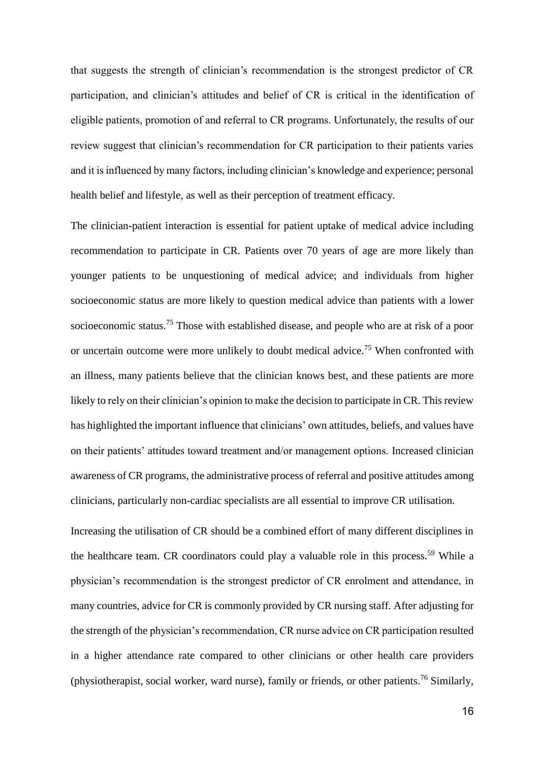that suggests the strength of clinician's recommendation is the strongest predictor of CR participation, and clinician's attitudes and belief of CR is critical in the identification of eligible patients, promotion of and referral to CR programs. Unfortunately, the results of our review suggest that clinician's recommendation for CR participation to their patients varies and it is influenced by many factors, including clinician's knowledge and experience; personal health belief and lifestyle, as well as their perception of treatment efficacy.

The clinician-patient interaction is essential for patient uptake of medical advice including recommendation to participate in CR. Patients over 70 years of age are more likely than younger patients to be unquestioning of medical advice; and individuals from higher socioeconomic status are more likely to question medical advice than patients with a lower socioeconomic status.<sup>75</sup> Those with established disease, and people who are at risk of a poor or uncertain outcome were more unlikely to doubt medical advice.<sup>75</sup> When confronted with an illness, many patients believe that the clinician knows best, and these patients are more likely to rely on their clinician's opinion to make the decision to participate in CR. This review has highlighted the important influence that clinicians' own attitudes, beliefs, and values have on their patients' attitudes toward treatment and/or management options. Increased clinician awareness of CR programs, the administrative process of referral and positive attitudes among clinicians, particularly non-cardiac specialists are all essential to improve CR utilisation.

Increasing the utilisation of CR should be a combined effort of many different disciplines in the healthcare team. CR coordinators could play a valuable role in this process.<sup>59</sup> While a physician's recommendation is the strongest predictor of CR enrolment and attendance, in many countries, advice for CR is commonly provided by CR nursing staff. After adjusting for the strength of the physician's recommendation, CR nurse advice on CR participation resulted in a higher attendance rate compared to other clinicians or other health care providers (physiotherapist, social worker, ward nurse), family or friends, or other patients. <sup>76</sup> Similarly,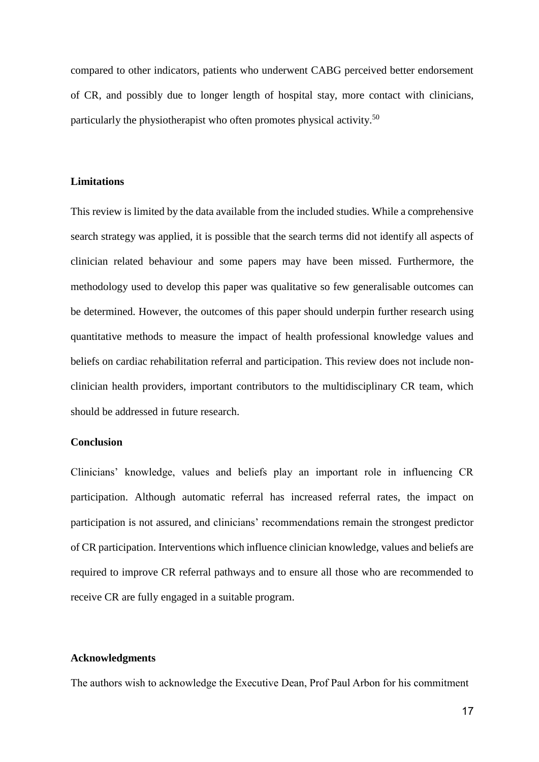compared to other indicators, patients who underwent CABG perceived better endorsement of CR, and possibly due to longer length of hospital stay, more contact with clinicians, particularly the physiotherapist who often promotes physical activity.<sup>50</sup>

#### **Limitations**

This review is limited by the data available from the included studies. While a comprehensive search strategy was applied, it is possible that the search terms did not identify all aspects of clinician related behaviour and some papers may have been missed. Furthermore, the methodology used to develop this paper was qualitative so few generalisable outcomes can be determined. However, the outcomes of this paper should underpin further research using quantitative methods to measure the impact of health professional knowledge values and beliefs on cardiac rehabilitation referral and participation. This review does not include nonclinician health providers, important contributors to the multidisciplinary CR team, which should be addressed in future research.

#### **Conclusion**

Clinicians' knowledge, values and beliefs play an important role in influencing CR participation. Although automatic referral has increased referral rates, the impact on participation is not assured, and clinicians' recommendations remain the strongest predictor of CR participation. Interventions which influence clinician knowledge, values and beliefs are required to improve CR referral pathways and to ensure all those who are recommended to receive CR are fully engaged in a suitable program.

#### **Acknowledgments**

The authors wish to acknowledge the Executive Dean, Prof Paul Arbon for his commitment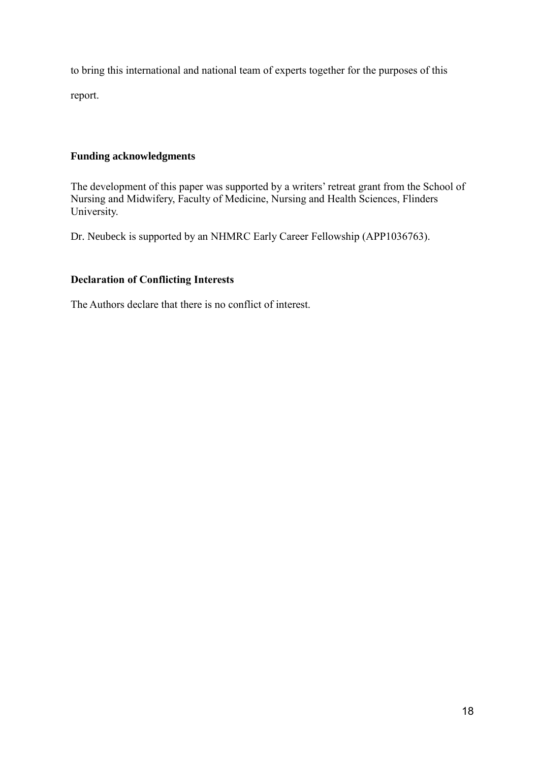to bring this international and national team of experts together for the purposes of this

report.

# **Funding acknowledgments**

The development of this paper was supported by a writers' retreat grant from the School of Nursing and Midwifery, Faculty of Medicine, Nursing and Health Sciences, Flinders University.

Dr. Neubeck is supported by an NHMRC Early Career Fellowship (APP1036763).

# **Declaration of Conflicting Interests**

The Authors declare that there is no conflict of interest.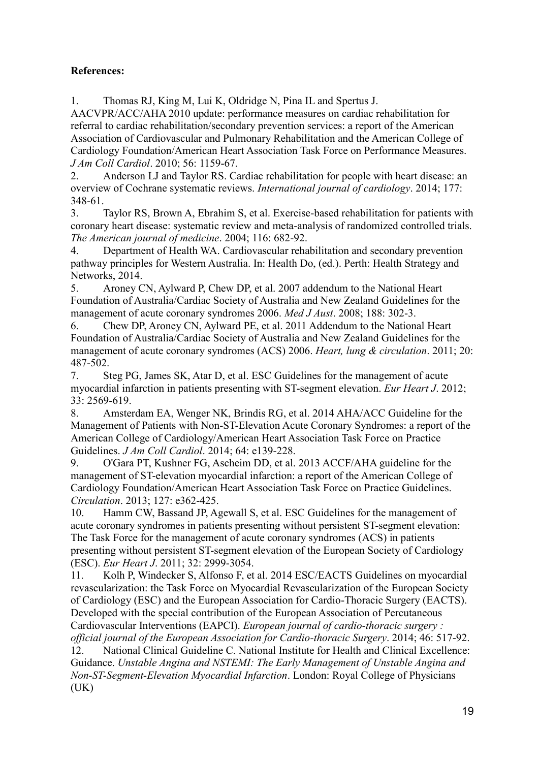# **References:**

1. Thomas RJ, King M, Lui K, Oldridge N, Pina IL and Spertus J.

AACVPR/ACC/AHA 2010 update: performance measures on cardiac rehabilitation for referral to cardiac rehabilitation/secondary prevention services: a report of the American Association of Cardiovascular and Pulmonary Rehabilitation and the American College of Cardiology Foundation/American Heart Association Task Force on Performance Measures. *J Am Coll Cardiol*. 2010; 56: 1159-67.

2. Anderson LJ and Taylor RS. Cardiac rehabilitation for people with heart disease: an overview of Cochrane systematic reviews. *International journal of cardiology*. 2014; 177: 348-61.

3. Taylor RS, Brown A, Ebrahim S, et al. Exercise-based rehabilitation for patients with coronary heart disease: systematic review and meta-analysis of randomized controlled trials. *The American journal of medicine*. 2004; 116: 682-92.

4. Department of Health WA. Cardiovascular rehabilitation and secondary prevention pathway principles for Western Australia. In: Health Do, (ed.). Perth: Health Strategy and Networks, 2014.

5. Aroney CN, Aylward P, Chew DP, et al. 2007 addendum to the National Heart Foundation of Australia/Cardiac Society of Australia and New Zealand Guidelines for the management of acute coronary syndromes 2006. *Med J Aust*. 2008; 188: 302-3.

6. Chew DP, Aroney CN, Aylward PE, et al. 2011 Addendum to the National Heart Foundation of Australia/Cardiac Society of Australia and New Zealand Guidelines for the management of acute coronary syndromes (ACS) 2006. *Heart, lung & circulation*. 2011; 20: 487-502.

7. Steg PG, James SK, Atar D, et al. ESC Guidelines for the management of acute myocardial infarction in patients presenting with ST-segment elevation. *Eur Heart J*. 2012; 33: 2569-619.

8. Amsterdam EA, Wenger NK, Brindis RG, et al. 2014 AHA/ACC Guideline for the Management of Patients with Non-ST-Elevation Acute Coronary Syndromes: a report of the American College of Cardiology/American Heart Association Task Force on Practice Guidelines. *J Am Coll Cardiol*. 2014; 64: e139-228.

9. O'Gara PT, Kushner FG, Ascheim DD, et al. 2013 ACCF/AHA guideline for the management of ST-elevation myocardial infarction: a report of the American College of Cardiology Foundation/American Heart Association Task Force on Practice Guidelines. *Circulation*. 2013; 127: e362-425.

10. Hamm CW, Bassand JP, Agewall S, et al. ESC Guidelines for the management of acute coronary syndromes in patients presenting without persistent ST-segment elevation: The Task Force for the management of acute coronary syndromes (ACS) in patients presenting without persistent ST-segment elevation of the European Society of Cardiology (ESC). *Eur Heart J*. 2011; 32: 2999-3054.

11. Kolh P, Windecker S, Alfonso F, et al. 2014 ESC/EACTS Guidelines on myocardial revascularization: the Task Force on Myocardial Revascularization of the European Society of Cardiology (ESC) and the European Association for Cardio-Thoracic Surgery (EACTS). Developed with the special contribution of the European Association of Percutaneous Cardiovascular Interventions (EAPCI). *European journal of cardio-thoracic surgery :* 

*official journal of the European Association for Cardio-thoracic Surgery*. 2014; 46: 517-92. 12. National Clinical Guideline C. National Institute for Health and Clinical Excellence: Guidance. *Unstable Angina and NSTEMI: The Early Management of Unstable Angina and Non-ST-Segment-Elevation Myocardial Infarction*. London: Royal College of Physicians  $(UK)$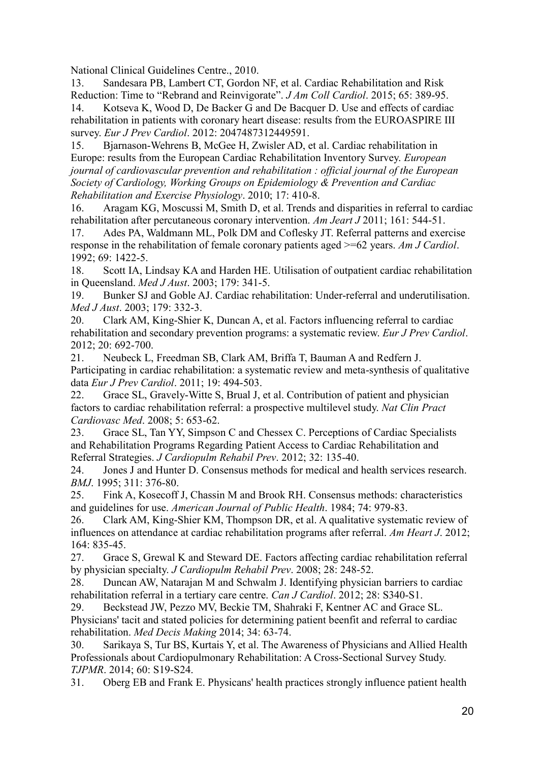National Clinical Guidelines Centre., 2010.

13. Sandesara PB, Lambert CT, Gordon NF, et al. Cardiac Rehabilitation and Risk Reduction: Time to "Rebrand and Reinvigorate". *J Am Coll Cardiol*. 2015; 65: 389-95.

14. Kotseva K, Wood D, De Backer G and De Bacquer D. Use and effects of cardiac rehabilitation in patients with coronary heart disease: results from the EUROASPIRE III survey. *Eur J Prev Cardiol*. 2012: 2047487312449591.

15. Bjarnason-Wehrens B, McGee H, Zwisler AD, et al. Cardiac rehabilitation in Europe: results from the European Cardiac Rehabilitation Inventory Survey. *European journal of cardiovascular prevention and rehabilitation : official journal of the European Society of Cardiology, Working Groups on Epidemiology & Prevention and Cardiac Rehabilitation and Exercise Physiology*. 2010; 17: 410-8.

16. Aragam KG, Moscussi M, Smith D, et al. Trends and disparities in referral to cardiac rehabilitation after percutaneous coronary intervention. *Am Jeart J* 2011; 161: 544-51.

17. Ades PA, Waldmann ML, Polk DM and Coflesky JT. Referral patterns and exercise response in the rehabilitation of female coronary patients aged >=62 years. *Am J Cardiol*. 1992; 69: 1422-5.

18. Scott IA, Lindsay KA and Harden HE. Utilisation of outpatient cardiac rehabilitation in Queensland. *Med J Aust*. 2003; 179: 341-5.

19. Bunker SJ and Goble AJ. Cardiac rehabilitation: Under-referral and underutilisation. *Med J Aust*. 2003; 179: 332-3.

20. Clark AM, King-Shier K, Duncan A, et al. Factors influencing referral to cardiac rehabilitation and secondary prevention programs: a systematic review. *Eur J Prev Cardiol*. 2012; 20: 692-700.

21. Neubeck L, Freedman SB, Clark AM, Briffa T, Bauman A and Redfern J. Participating in cardiac rehabilitation: a systematic review and meta-synthesis of qualitative data *Eur J Prev Cardiol*. 2011; 19: 494-503.

22. Grace SL, Gravely-Witte S, Brual J, et al. Contribution of patient and physician factors to cardiac rehabilitation referral: a prospective multilevel study. *Nat Clin Pract Cardiovasc Med*. 2008; 5: 653-62.

23. Grace SL, Tan YY, Simpson C and Chessex C. Perceptions of Cardiac Specialists and Rehabilitation Programs Regarding Patient Access to Cardiac Rehabilitation and Referral Strategies. *J Cardiopulm Rehabil Prev*. 2012; 32: 135-40.

24. Jones J and Hunter D. Consensus methods for medical and health services research. *BMJ*. 1995; 311: 376-80.

25. Fink A, Kosecoff J, Chassin M and Brook RH. Consensus methods: characteristics and guidelines for use. *American Journal of Public Health*. 1984; 74: 979-83.

26. Clark AM, King-Shier KM, Thompson DR, et al. A qualitative systematic review of influences on attendance at cardiac rehabilitation programs after referral. *Am Heart J*. 2012;  $164.835 - 45$ 

27. Grace S, Grewal K and Steward DE. Factors affecting cardiac rehabilitation referral by physician specialty. *J Cardiopulm Rehabil Prev*. 2008; 28: 248-52.

28. Duncan AW, Natarajan M and Schwalm J. Identifying physician barriers to cardiac rehabilitation referral in a tertiary care centre. *Can J Cardiol*. 2012; 28: S340-S1.

29. Beckstead JW, Pezzo MV, Beckie TM, Shahraki F, Kentner AC and Grace SL. Physicians' tacit and stated policies for determining patient beenfit and referral to cardiac rehabilitation. *Med Decis Making* 2014; 34: 63-74.

30. Sarikaya S, Tur BS, Kurtais Y, et al. The Awareness of Physicians and Allied Health Professionals about Cardiopulmonary Rehabilitation: A Cross-Sectional Survey Study. *TJPMR*. 2014; 60: S19-S24.

31. Oberg EB and Frank E. Physicans' health practices strongly influence patient health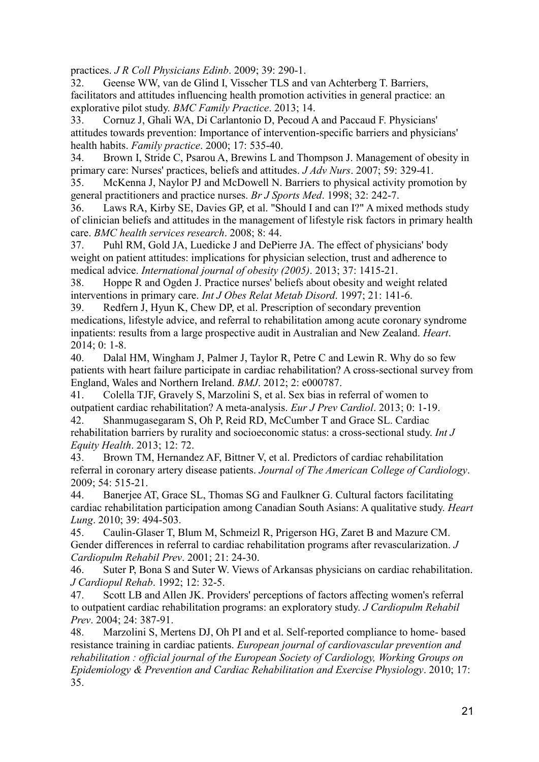practices. *J R Coll Physicians Edinb*. 2009; 39: 290-1.

32. Geense WW, van de Glind I, Visscher TLS and van Achterberg T. Barriers, facilitators and attitudes influencing health promotion activities in general practice: an explorative pilot study. *BMC Family Practice*. 2013; 14.

33. Cornuz J, Ghali WA, Di Carlantonio D, Pecoud A and Paccaud F. Physicians' attitudes towards prevention: Importance of intervention-specific barriers and physicians' health habits. *Family practice*. 2000; 17: 535-40.

34. Brown I, Stride C, Psarou A, Brewins L and Thompson J. Management of obesity in primary care: Nurses' practices, beliefs and attitudes. *J Adv Nurs*. 2007; 59: 329-41.

35. McKenna J, Naylor PJ and McDowell N. Barriers to physical activity promotion by general practitioners and practice nurses. *Br J Sports Med*. 1998; 32: 242-7.

36. Laws RA, Kirby SE, Davies GP, et al. "Should I and can I?" A mixed methods study of clinician beliefs and attitudes in the management of lifestyle risk factors in primary health care. *BMC health services research*. 2008; 8: 44.

37. Puhl RM, Gold JA, Luedicke J and DePierre JA. The effect of physicians' body weight on patient attitudes: implications for physician selection, trust and adherence to medical advice. *International journal of obesity (2005)*. 2013; 37: 1415-21.

38. Hoppe R and Ogden J. Practice nurses' beliefs about obesity and weight related interventions in primary care. *Int J Obes Relat Metab Disord*. 1997; 21: 141-6.

39. Redfern J, Hyun K, Chew DP, et al. Prescription of secondary prevention medications, lifestyle advice, and referral to rehabilitation among acute coronary syndrome inpatients: results from a large prospective audit in Australian and New Zealand. *Heart*. 2014; 0: 1-8.

40. Dalal HM, Wingham J, Palmer J, Taylor R, Petre C and Lewin R. Why do so few patients with heart failure participate in cardiac rehabilitation? A cross-sectional survey from England, Wales and Northern Ireland. *BMJ*. 2012; 2: e000787.

41. Colella TJF, Gravely S, Marzolini S, et al. Sex bias in referral of women to outpatient cardiac rehabilitation? A meta-analysis. *Eur J Prev Cardiol*. 2013; 0: 1-19. 42. Shanmugasegaram S, Oh P, Reid RD, McCumber T and Grace SL. Cardiac

rehabilitation barriers by rurality and socioeconomic status: a cross-sectional study. *Int J Equity Health*. 2013; 12: 72.

43. Brown TM, Hernandez AF, Bittner V, et al. Predictors of cardiac rehabilitation referral in coronary artery disease patients. *Journal of The American College of Cardiology*. 2009; 54: 515-21.

44. Banerjee AT, Grace SL, Thomas SG and Faulkner G. Cultural factors facilitating cardiac rehabilitation participation among Canadian South Asians: A qualitative study. *Heart Lung*. 2010; 39: 494-503.

45. Caulin-Glaser T, Blum M, Schmeizl R, Prigerson HG, Zaret B and Mazure CM. Gender differences in referral to cardiac rehabilitation programs after revascularization. *J Cardiopulm Rehabil Prev*. 2001; 21: 24-30.

46. Suter P, Bona S and Suter W. Views of Arkansas physicians on cardiac rehabilitation. *J Cardiopul Rehab*. 1992; 12: 32-5.

47. Scott LB and Allen JK. Providers' perceptions of factors affecting women's referral to outpatient cardiac rehabilitation programs: an exploratory study. *J Cardiopulm Rehabil Prev*. 2004; 24: 387-91.

48. Marzolini S, Mertens DJ, Oh PI and et al. Self-reported compliance to home- based resistance training in cardiac patients. *European journal of cardiovascular prevention and rehabilitation : official journal of the European Society of Cardiology, Working Groups on Epidemiology & Prevention and Cardiac Rehabilitation and Exercise Physiology*. 2010; 17: 35.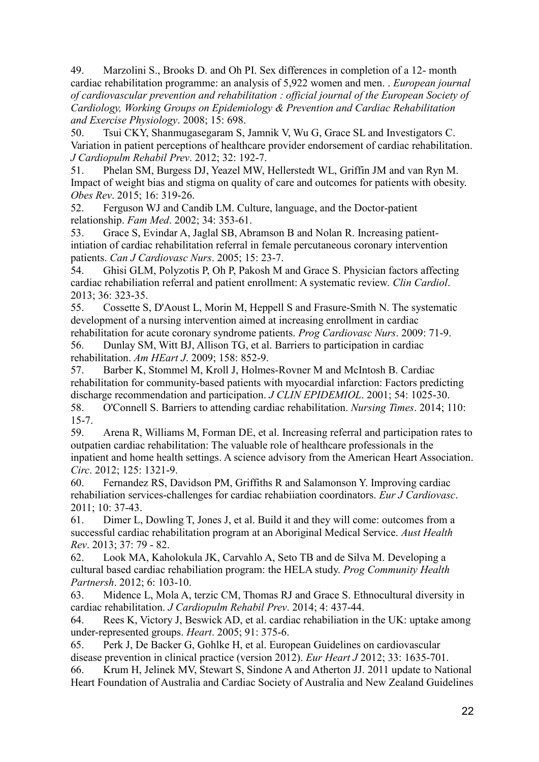49. Marzolini S., Brooks D. and Oh PI. Sex differences in completion of a 12- month cardiac rehabilitation programme: an analysis of 5,922 women and men. . *European journal of cardiovascular prevention and rehabilitation : official journal of the European Society of Cardiology, Working Groups on Epidemiology & Prevention and Cardiac Rehabilitation and Exercise Physiology*. 2008; 15: 698.

50. Tsui CKY, Shanmugasegaram S, Jamnik V, Wu G, Grace SL and Investigators C. Variation in patient perceptions of healthcare provider endorsement of cardiac rehabilitation. *J Cardiopulm Rehabil Prev*. 2012; 32: 192-7.

51. Phelan SM, Burgess DJ, Yeazel MW, Hellerstedt WL, Griffin JM and van Ryn M. Impact of weight bias and stigma on quality of care and outcomes for patients with obesity. *Obes Rev*. 2015; 16: 319-26.

52. Ferguson WJ and Candib LM. Culture, language, and the Doctor-patient relationship. *Fam Med*. 2002; 34: 353-61.

53. Grace S, Evindar A, Jaglal SB, Abramson B and Nolan R. Increasing patientintiation of cardiac rehabilitation referral in female percutaneous coronary intervention patients. *Can J Cardiovasc Nurs*. 2005; 15: 23-7.

54. Ghisi GLM, Polyzotis P, Oh P, Pakosh M and Grace S. Physician factors affecting cardiac rehabiliation referral and patient enrollment: A systematic review. *Clin Cardiol*. 2013; 36: 323-35.

55. Cossette S, D'Aoust L, Morin M, Heppell S and Frasure-Smith N. The systematic development of a nursing intervention aimed at increasing enrollment in cardiac rehabilitation for acute coronary syndrome patients. *Prog Cardiovasc Nurs*. 2009: 71-9.

56. Dunlay SM, Witt BJ, Allison TG, et al. Barriers to participation in cardiac rehabilitation. *Am HEart J*. 2009; 158: 852-9.

57. Barber K, Stommel M, Kroll J, Holmes-Rovner M and McIntosh B. Cardiac rehabilitation for community-based patients with myocardial infarction: Factors predicting discharge recommendation and participation. *J CLIN EPIDEMIOL*. 2001; 54: 1025-30.

58. O'Connell S. Barriers to attending cardiac rehabilitation. *Nursing Times*. 2014; 110: 15-7.

59. Arena R, Williams M, Forman DE, et al. Increasing referral and participation rates to outpatien cardiac rehabilitation: The valuable role of healthcare professionals in the inpatient and home health settings. A science advisory from the American Heart Association. *Circ*. 2012; 125: 1321-9.

60. Fernandez RS, Davidson PM, Griffiths R and Salamonson Y. Improving cardiac rehabiliation services-challenges for cardiac rehabiiation coordinators. *Eur J Cardiovasc*. 2011; 10: 37-43.

61. Dimer L, Dowling T, Jones J, et al. Build it and they will come: outcomes from a successful cardiac rehabilitation program at an Aboriginal Medical Service. *Aust Health Rev*. 2013; 37: 79 - 82.

62. Look MA, Kaholokula JK, Carvahlo A, Seto TB and de Silva M. Developing a cultural based cardiac rehabiliation program: the HELA study. *Prog Community Health Partnersh*. 2012; 6: 103-10.

63. Midence L, Mola A, terzic CM, Thomas RJ and Grace S. Ethnocultural diversity in cardiac rehabilitation. *J Cardiopulm Rehabil Prev*. 2014; 4: 437-44.

64. Rees K, Victory J, Beswick AD, et al. cardiac rehabiliation in the UK: uptake among under-represented groups. *Heart*. 2005; 91: 375-6.

65. Perk J, De Backer G, Gohlke H, et al. European Guidelines on cardiovascular disease prevention in clinical practice (version 2012). *Eur Heart J* 2012; 33: 1635-701.

66. Krum H, Jelinek MV, Stewart S, Sindone A and Atherton JJ. 2011 update to National Heart Foundation of Australia and Cardiac Society of Australia and New Zealand Guidelines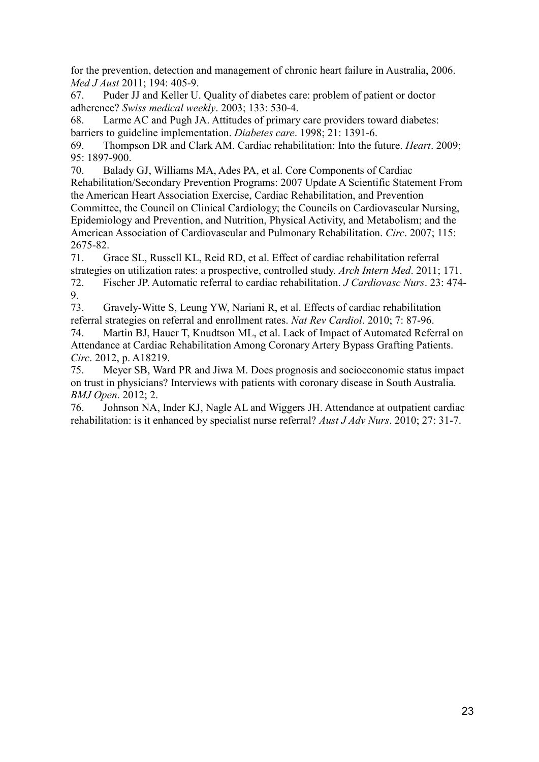for the prevention, detection and management of chronic heart failure in Australia, 2006. *Med J Aust* 2011; 194: 405-9.

67. Puder JJ and Keller U. Quality of diabetes care: problem of patient or doctor adherence? *Swiss medical weekly*. 2003; 133: 530-4.

68. Larme AC and Pugh JA. Attitudes of primary care providers toward diabetes: barriers to guideline implementation. *Diabetes care*. 1998; 21: 1391-6.

69. Thompson DR and Clark AM. Cardiac rehabilitation: Into the future. *Heart*. 2009; 95: 1897-900.

70. Balady GJ, Williams MA, Ades PA, et al. Core Components of Cardiac Rehabilitation/Secondary Prevention Programs: 2007 Update A Scientific Statement From the American Heart Association Exercise, Cardiac Rehabilitation, and Prevention Committee, the Council on Clinical Cardiology; the Councils on Cardiovascular Nursing, Epidemiology and Prevention, and Nutrition, Physical Activity, and Metabolism; and the American Association of Cardiovascular and Pulmonary Rehabilitation. *Circ*. 2007; 115: 2675-82.

71. Grace SL, Russell KL, Reid RD, et al. Effect of cardiac rehabilitation referral strategies on utilization rates: a prospective, controlled study. *Arch Intern Med*. 2011; 171.

72. Fischer JP. Automatic referral to cardiac rehabilitation. *J Cardiovasc Nurs*. 23: 474- 9.

73. Gravely-Witte S, Leung YW, Nariani R, et al. Effects of cardiac rehabilitation referral strategies on referral and enrollment rates. *Nat Rev Cardiol*. 2010; 7: 87-96.

74. Martin BJ, Hauer T, Knudtson ML, et al. Lack of Impact of Automated Referral on Attendance at Cardiac Rehabilitation Among Coronary Artery Bypass Grafting Patients. *Circ*. 2012, p. A18219.

75. Meyer SB, Ward PR and Jiwa M. Does prognosis and socioeconomic status impact on trust in physicians? Interviews with patients with coronary disease in South Australia. *BMJ Open*. 2012; 2.

76. Johnson NA, Inder KJ, Nagle AL and Wiggers JH. Attendance at outpatient cardiac rehabilitation: is it enhanced by specialist nurse referral? *Aust J Adv Nurs*. 2010; 27: 31-7.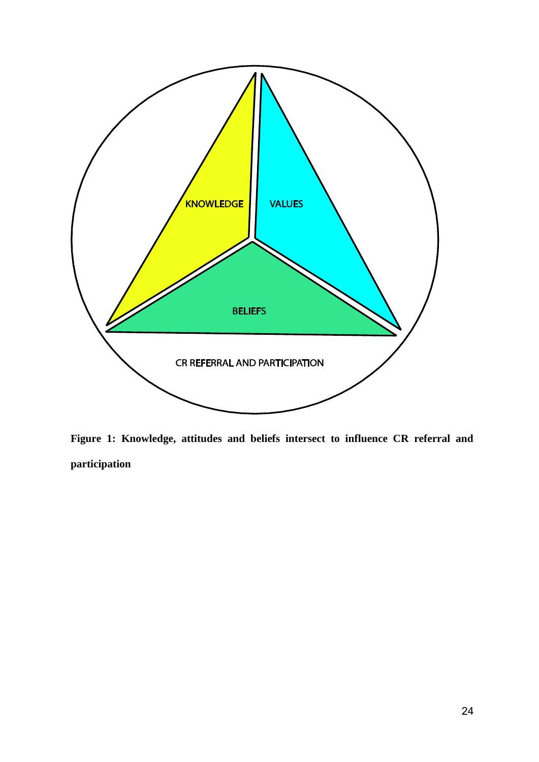

**Figure 1: Knowledge, attitudes and beliefs intersect to influence CR referral and participation**